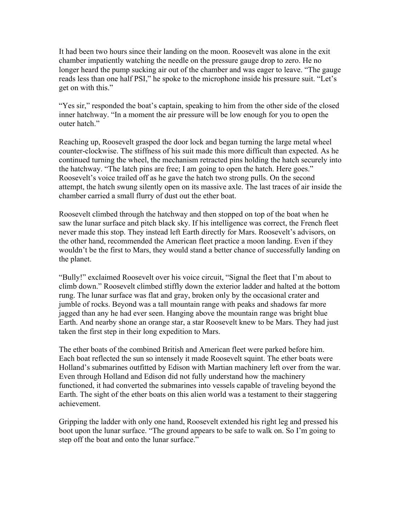It had been two hours since their landing on the moon. Roosevelt was alone in the exit chamber impatiently watching the needle on the pressure gauge drop to zero. He no longer heard the pump sucking air out of the chamber and was eager to leave. "The gauge reads less than one half PSI," he spoke to the microphone inside his pressure suit. "Let's get on with this."

"Yes sir," responded the boat's captain, speaking to him from the other side of the closed inner hatchway. "In a moment the air pressure will be low enough for you to open the outer hatch."

Reaching up, Roosevelt grasped the door lock and began turning the large metal wheel counter-clockwise. The stiffness of his suit made this more difficult than expected. As he continued turning the wheel, the mechanism retracted pins holding the hatch securely into the hatchway. "The latch pins are free; I am going to open the hatch. Here goes." Roosevelt's voice trailed off as he gave the hatch two strong pulls. On the second attempt, the hatch swung silently open on its massive axle. The last traces of air inside the chamber carried a small flurry of dust out the ether boat.

Roosevelt climbed through the hatchway and then stopped on top of the boat when he saw the lunar surface and pitch black sky. If his intelligence was correct, the French fleet never made this stop. They instead left Earth directly for Mars. Roosevelt's advisors, on the other hand, recommended the American fleet practice a moon landing. Even if they wouldn't be the first to Mars, they would stand a better chance of successfully landing on the planet.

"Bully!" exclaimed Roosevelt over his voice circuit, "Signal the fleet that I'm about to climb down." Roosevelt climbed stiffly down the exterior ladder and halted at the bottom rung. The lunar surface was flat and gray, broken only by the occasional crater and jumble of rocks. Beyond was a tall mountain range with peaks and shadows far more jagged than any he had ever seen. Hanging above the mountain range was bright blue Earth. And nearby shone an orange star, a star Roosevelt knew to be Mars. They had just taken the first step in their long expedition to Mars.

The ether boats of the combined British and American fleet were parked before him. Each boat reflected the sun so intensely it made Roosevelt squint. The ether boats were Holland's submarines outfitted by Edison with Martian machinery left over from the war. Even through Holland and Edison did not fully understand how the machinery functioned, it had converted the submarines into vessels capable of traveling beyond the Earth. The sight of the ether boats on this alien world was a testament to their staggering achievement.

Gripping the ladder with only one hand, Roosevelt extended his right leg and pressed his boot upon the lunar surface. "The ground appears to be safe to walk on. So I'm going to step off the boat and onto the lunar surface."